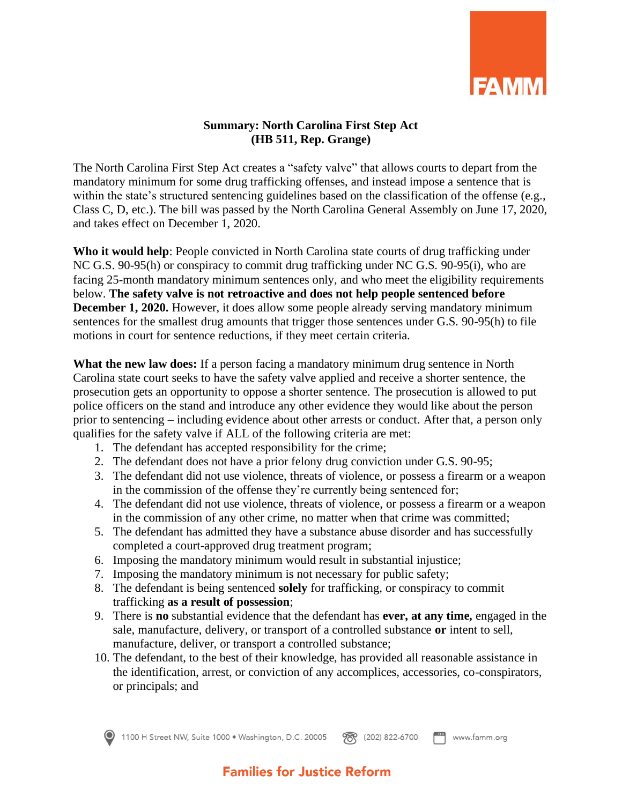

## **Summary: North Carolina First Step Act (HB 511, Rep. Grange)**

The North Carolina First Step Act creates a "safety valve" that allows courts to depart from the mandatory minimum for some drug trafficking offenses, and instead impose a sentence that is within the state's structured sentencing guidelines based on the classification of the offense (e.g., Class C, D, etc.). The bill was passed by the North Carolina General Assembly on June 17, 2020, and takes effect on December 1, 2020.

**Who it would help**: People convicted in North Carolina state courts of drug trafficking under NC G.S. 90-95(h) or conspiracy to commit drug trafficking under NC G.S. 90-95(i), who are facing 25-month mandatory minimum sentences only, and who meet the eligibility requirements below. **The safety valve is not retroactive and does not help people sentenced before December 1, 2020.** However, it does allow some people already serving mandatory minimum sentences for the smallest drug amounts that trigger those sentences under G.S. 90-95(h) to file motions in court for sentence reductions, if they meet certain criteria.

**What the new law does:** If a person facing a mandatory minimum drug sentence in North Carolina state court seeks to have the safety valve applied and receive a shorter sentence, the prosecution gets an opportunity to oppose a shorter sentence. The prosecution is allowed to put police officers on the stand and introduce any other evidence they would like about the person prior to sentencing – including evidence about other arrests or conduct. After that, a person only qualifies for the safety valve if ALL of the following criteria are met:

- 1. The defendant has accepted responsibility for the crime;
- 2. The defendant does not have a prior felony drug conviction under G.S. 90-95;
- 3. The defendant did not use violence, threats of violence, or possess a firearm or a weapon in the commission of the offense they're currently being sentenced for;
- 4. The defendant did not use violence, threats of violence, or possess a firearm or a weapon in the commission of any other crime, no matter when that crime was committed;
- 5. The defendant has admitted they have a substance abuse disorder and has successfully completed a court-approved drug treatment program;
- 6. Imposing the mandatory minimum would result in substantial injustice;
- 7. Imposing the mandatory minimum is not necessary for public safety;
- 8. The defendant is being sentenced **solely** for trafficking, or conspiracy to commit trafficking **as a result of possession**;
- 9. There is **no** substantial evidence that the defendant has **ever, at any time,** engaged in the sale, manufacture, delivery, or transport of a controlled substance **or** intent to sell, manufacture, deliver, or transport a controlled substance;
- 10. The defendant, to the best of their knowledge, has provided all reasonable assistance in the identification, arrest, or conviction of any accomplices, accessories, co-conspirators, or principals; and

1100 H Street NW, Suite 1000 • Washington, D.C. 20005  $F^{\text{ax}}$  www.famm.org **??** (202) 822-6700

## **Families for Justice Reform**